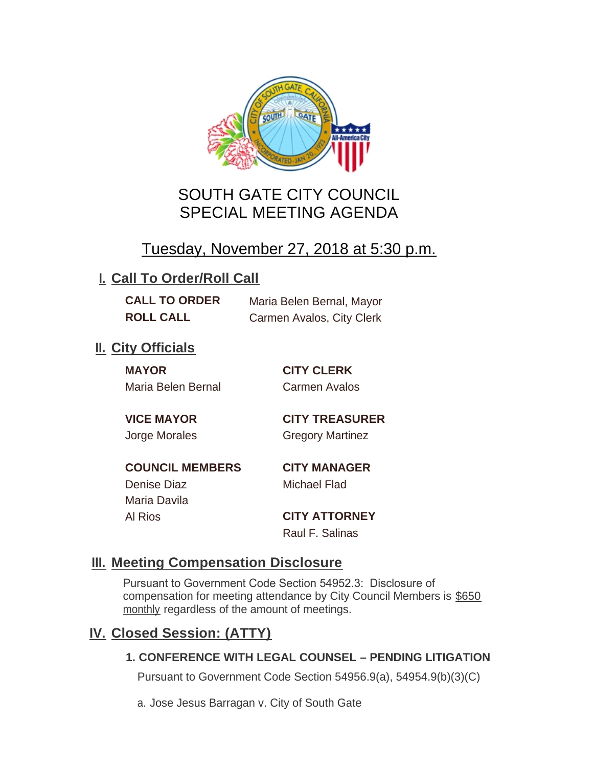

# SOUTH GATE CITY COUNCIL SPECIAL MEETING AGENDA

# Tuesday, November 27, 2018 at 5:30 p.m.

## **I. Call To Order/Roll Call**

**CALL TO ORDER** Maria Belen Bernal, Mayor **ROLL CALL** Carmen Avalos, City Clerk

## **II.** City Officials

**MAYOR CITY CLERK** Maria Belen Bernal Carmen Avalos

**VICE MAYOR CITY TREASURER** Jorge Morales Gregory Martinez

**COUNCIL MEMBERS CITY MANAGER** Denise Diaz Michael Flad Maria Davila

Al Rios **CITY ATTORNEY**

Raul F. Salinas

### **Meeting Compensation Disclosure III.**

Pursuant to Government Code Section 54952.3: Disclosure of compensation for meeting attendance by City Council Members is \$650 monthly regardless of the amount of meetings.

### **Closed Session: (ATTY) IV.**

#### **1. CONFERENCE WITH LEGAL COUNSEL – PENDING LITIGATION**

Pursuant to Government Code Section 54956.9(a), 54954.9(b)(3)(C)

a. Jose Jesus Barragan v. City of South Gate